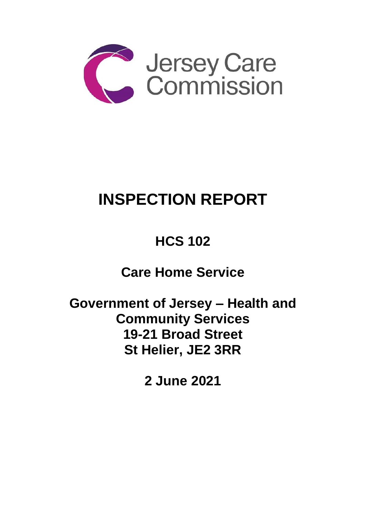

# **INSPECTION REPORT**

## **HCS 102**

**Care Home Service** 

**Government of Jersey – Health and Community Services 19-21 Broad Street St Helier, JE2 3RR** 

**2 June 2021**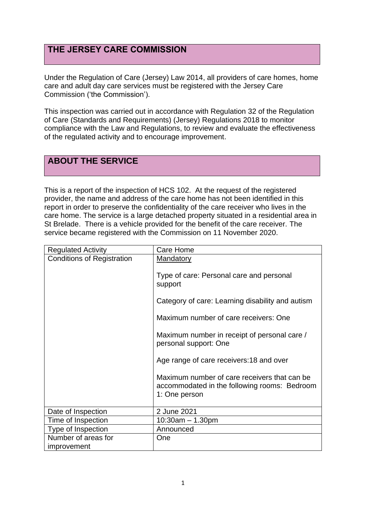## **THE JERSEY CARE COMMISSION**

Under the Regulation of Care (Jersey) Law 2014, all providers of care homes, home care and adult day care services must be registered with the Jersey Care Commission ('the Commission').

This inspection was carried out in accordance with Regulation 32 of the Regulation of Care (Standards and Requirements) (Jersey) Regulations 2018 to monitor compliance with the Law and Regulations, to review and evaluate the effectiveness of the regulated activity and to encourage improvement.

## **ABOUT THE SERVICE**

This is a report of the inspection of HCS 102. At the request of the registered provider, the name and address of the care home has not been identified in this report in order to preserve the confidentiality of the care receiver who lives in the care home. The service is a large detached property situated in a residential area in St Brelade. There is a vehicle provided for the benefit of the care receiver. The service became registered with the Commission on 11 November 2020.

| <b>Regulated Activity</b>         | Care Home                                                                                                     |
|-----------------------------------|---------------------------------------------------------------------------------------------------------------|
| <b>Conditions of Registration</b> | <u>Mandatory</u>                                                                                              |
|                                   | Type of care: Personal care and personal<br>support                                                           |
|                                   | Category of care: Learning disability and autism                                                              |
|                                   | Maximum number of care receivers: One                                                                         |
|                                   | Maximum number in receipt of personal care /<br>personal support: One                                         |
|                                   | Age range of care receivers: 18 and over                                                                      |
|                                   | Maximum number of care receivers that can be<br>accommodated in the following rooms: Bedroom<br>1: One person |
| Date of Inspection                | 2 June 2021                                                                                                   |
| Time of Inspection                | $10:30am - 1.30pm$                                                                                            |
| Type of Inspection                | Announced                                                                                                     |
| Number of areas for               | One                                                                                                           |
| improvement                       |                                                                                                               |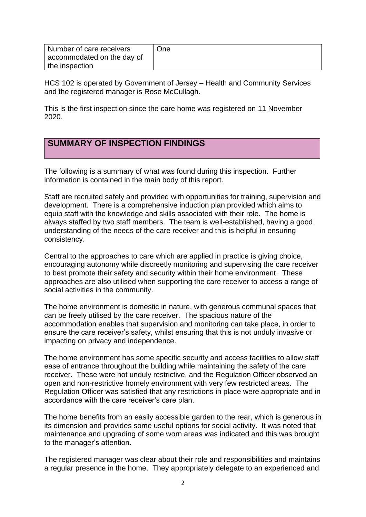| Number of care receivers   | One |
|----------------------------|-----|
| accommodated on the day of |     |
| the inspection             |     |

HCS 102 is operated by Government of Jersey – Health and Community Services and the registered manager is Rose McCullagh.

This is the first inspection since the care home was registered on 11 November 2020.

### **SUMMARY OF INSPECTION FINDINGS**

The following is a summary of what was found during this inspection. Further information is contained in the main body of this report.

Staff are recruited safely and provided with opportunities for training, supervision and development. There is a comprehensive induction plan provided which aims to equip staff with the knowledge and skills associated with their role. The home is always staffed by two staff members. The team is well-established, having a good understanding of the needs of the care receiver and this is helpful in ensuring consistency.

Central to the approaches to care which are applied in practice is giving choice, encouraging autonomy while discreetly monitoring and supervising the care receiver to best promote their safety and security within their home environment. These approaches are also utilised when supporting the care receiver to access a range of social activities in the community.

The home environment is domestic in nature, with generous communal spaces that can be freely utilised by the care receiver. The spacious nature of the accommodation enables that supervision and monitoring can take place, in order to ensure the care receiver's safety, whilst ensuring that this is not unduly invasive or impacting on privacy and independence.

The home environment has some specific security and access facilities to allow staff ease of entrance throughout the building while maintaining the safety of the care receiver. These were not unduly restrictive, and the Regulation Officer observed an open and non-restrictive homely environment with very few restricted areas. The Regulation Officer was satisfied that any restrictions in place were appropriate and in accordance with the care receiver's care plan.

The home benefits from an easily accessible garden to the rear, which is generous in its dimension and provides some useful options for social activity. It was noted that maintenance and upgrading of some worn areas was indicated and this was brought to the manager's attention.

The registered manager was clear about their role and responsibilities and maintains a regular presence in the home. They appropriately delegate to an experienced and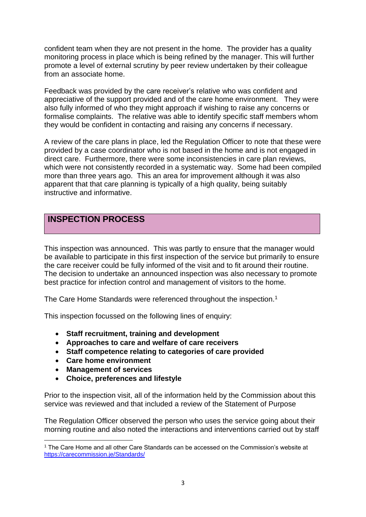confident team when they are not present in the home. The provider has a quality monitoring process in place which is being refined by the manager. This will further promote a level of external scrutiny by peer review undertaken by their colleague from an associate home.

Feedback was provided by the care receiver's relative who was confident and appreciative of the support provided and of the care home environment. They were also fully informed of who they might approach if wishing to raise any concerns or formalise complaints. The relative was able to identify specific staff members whom they would be confident in contacting and raising any concerns if necessary.

A review of the care plans in place, led the Regulation Officer to note that these were provided by a case coordinator who is not based in the home and is not engaged in direct care. Furthermore, there were some inconsistencies in care plan reviews, which were not consistently recorded in a systematic way. Some had been compiled more than three years ago. This an area for improvement although it was also apparent that that care planning is typically of a high quality, being suitably instructive and informative.

## **INSPECTION PROCESS**

This inspection was announced. This was partly to ensure that the manager would be available to participate in this first inspection of the service but primarily to ensure the care receiver could be fully informed of the visit and to fit around their routine. The decision to undertake an announced inspection was also necessary to promote best practice for infection control and management of visitors to the home.

The Care Home Standards were referenced throughout the inspection.<sup>1</sup>

This inspection focussed on the following lines of enquiry:

- **Staff recruitment, training and development**
- **Approaches to care and welfare of care receivers**
- **Staff competence relating to categories of care provided**
- **Care home environment**
- **Management of services**
- **Choice, preferences and lifestyle**

Prior to the inspection visit, all of the information held by the Commission about this service was reviewed and that included a review of the Statement of Purpose

The Regulation Officer observed the person who uses the service going about their morning routine and also noted the interactions and interventions carried out by staff

<sup>&</sup>lt;sup>1</sup> The Care Home and all other Care Standards can be accessed on the Commission's website at [https://carecommission.je/Standards/](https://carecommission.je/standards/)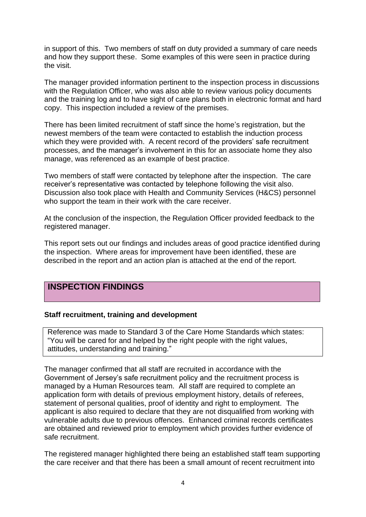in support of this. Two members of staff on duty provided a summary of care needs and how they support these. Some examples of this were seen in practice during the visit.

The manager provided information pertinent to the inspection process in discussions with the Regulation Officer, who was also able to review various policy documents and the training log and to have sight of care plans both in electronic format and hard copy. This inspection included a review of the premises.

There has been limited recruitment of staff since the home's registration, but the newest members of the team were contacted to establish the induction process which they were provided with. A recent record of the providers' safe recruitment processes, and the manager's involvement in this for an associate home they also manage, was referenced as an example of best practice.

Two members of staff were contacted by telephone after the inspection. The care receiver's representative was contacted by telephone following the visit also. Discussion also took place with Health and Community Services (H&CS) personnel who support the team in their work with the care receiver.

At the conclusion of the inspection, the Regulation Officer provided feedback to the registered manager.

This report sets out our findings and includes areas of good practice identified during the inspection. Where areas for improvement have been identified, these are described in the report and an action plan is attached at the end of the report.

## **INSPECTION FINDINGS**

#### **Staff recruitment, training and development**

Reference was made to Standard 3 of the Care Home Standards which states: "You will be cared for and helped by the right people with the right values, attitudes, understanding and training."

The manager confirmed that all staff are recruited in accordance with the Government of Jersey's safe recruitment policy and the recruitment process is managed by a Human Resources team. All staff are required to complete an application form with details of previous employment history, details of referees, statement of personal qualities, proof of identity and right to employment. The applicant is also required to declare that they are not disqualified from working with vulnerable adults due to previous offences. Enhanced criminal records certificates are obtained and reviewed prior to employment which provides further evidence of safe recruitment.

The registered manager highlighted there being an established staff team supporting the care receiver and that there has been a small amount of recent recruitment into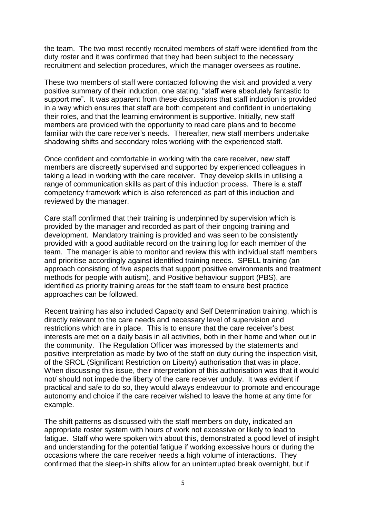the team. The two most recently recruited members of staff were identified from the duty roster and it was confirmed that they had been subject to the necessary recruitment and selection procedures, which the manager oversees as routine.

These two members of staff were contacted following the visit and provided a very positive summary of their induction, one stating, "staff were absolutely fantastic to support me". It was apparent from these discussions that staff induction is provided in a way which ensures that staff are both competent and confident in undertaking their roles, and that the learning environment is supportive. Initially, new staff members are provided with the opportunity to read care plans and to become familiar with the care receiver's needs. Thereafter, new staff members undertake shadowing shifts and secondary roles working with the experienced staff.

Once confident and comfortable in working with the care receiver, new staff members are discreetly supervised and supported by experienced colleagues in taking a lead in working with the care receiver. They develop skills in utilising a range of communication skills as part of this induction process. There is a staff competency framework which is also referenced as part of this induction and reviewed by the manager.

Care staff confirmed that their training is underpinned by supervision which is provided by the manager and recorded as part of their ongoing training and development. Mandatory training is provided and was seen to be consistently provided with a good auditable record on the training log for each member of the team. The manager is able to monitor and review this with individual staff members and prioritise accordingly against identified training needs. SPELL training (an approach consisting of five aspects that support positive environments and treatment methods for people with autism), and Positive behaviour support (PBS), are identified as priority training areas for the staff team to ensure best practice approaches can be followed.

Recent training has also included Capacity and Self Determination training, which is directly relevant to the care needs and necessary level of supervision and restrictions which are in place. This is to ensure that the care receiver's best interests are met on a daily basis in all activities, both in their home and when out in the community. The Regulation Officer was impressed by the statements and positive interpretation as made by two of the staff on duty during the inspection visit, of the SROL (Significant Restriction on Liberty) authorisation that was in place. When discussing this issue, their interpretation of this authorisation was that it would not/ should not impede the liberty of the care receiver unduly. It was evident if practical and safe to do so, they would always endeavour to promote and encourage autonomy and choice if the care receiver wished to leave the home at any time for example.

The shift patterns as discussed with the staff members on duty, indicated an appropriate roster system with hours of work not excessive or likely to lead to fatigue. Staff who were spoken with about this, demonstrated a good level of insight and understanding for the potential fatigue if working excessive hours or during the occasions where the care receiver needs a high volume of interactions. They confirmed that the sleep-in shifts allow for an uninterrupted break overnight, but if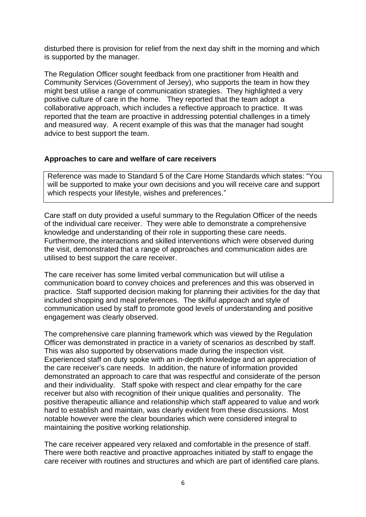disturbed there is provision for relief from the next day shift in the morning and which is supported by the manager.

The Regulation Officer sought feedback from one practitioner from Health and Community Services (Government of Jersey), who supports the team in how they might best utilise a range of communication strategies. They highlighted a very positive culture of care in the home. They reported that the team adopt a collaborative approach, which includes a reflective approach to practice. It was reported that the team are proactive in addressing potential challenges in a timely and measured way. A recent example of this was that the manager had sought advice to best support the team.

#### **Approaches to care and welfare of care receivers**

Reference was made to Standard 5 of the Care Home Standards which states: "You will be supported to make your own decisions and you will receive care and support which respects your lifestyle, wishes and preferences."

Care staff on duty provided a useful summary to the Regulation Officer of the needs of the individual care receiver. They were able to demonstrate a comprehensive knowledge and understanding of their role in supporting these care needs. Furthermore, the interactions and skilled interventions which were observed during the visit, demonstrated that a range of approaches and communication aides are utilised to best support the care receiver.

The care receiver has some limited verbal communication but will utilise a communication board to convey choices and preferences and this was observed in practice. Staff supported decision making for planning their activities for the day that included shopping and meal preferences. The skilful approach and style of communication used by staff to promote good levels of understanding and positive engagement was clearly observed.

The comprehensive care planning framework which was viewed by the Regulation Officer was demonstrated in practice in a variety of scenarios as described by staff. This was also supported by observations made during the inspection visit. Experienced staff on duty spoke with an in-depth knowledge and an appreciation of the care receiver's care needs. In addition, the nature of information provided demonstrated an approach to care that was respectful and considerate of the person and their individuality. Staff spoke with respect and clear empathy for the care receiver but also with recognition of their unique qualities and personality. The positive therapeutic alliance and relationship which staff appeared to value and work hard to establish and maintain, was clearly evident from these discussions. Most notable however were the clear boundaries which were considered integral to maintaining the positive working relationship.

The care receiver appeared very relaxed and comfortable in the presence of staff. There were both reactive and proactive approaches initiated by staff to engage the care receiver with routines and structures and which are part of identified care plans.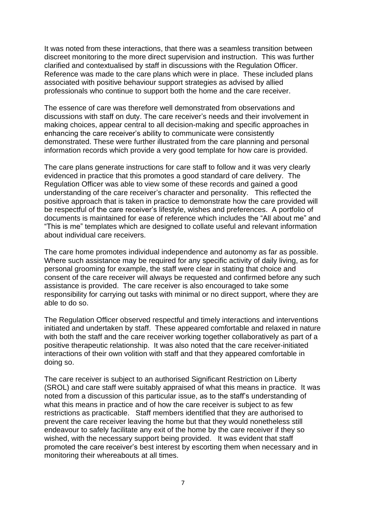It was noted from these interactions, that there was a seamless transition between discreet monitoring to the more direct supervision and instruction. This was further clarified and contextualised by staff in discussions with the Regulation Officer. Reference was made to the care plans which were in place. These included plans associated with positive behaviour support strategies as advised by allied professionals who continue to support both the home and the care receiver.

The essence of care was therefore well demonstrated from observations and discussions with staff on duty. The care receiver's needs and their involvement in making choices, appear central to all decision-making and specific approaches in enhancing the care receiver's ability to communicate were consistently demonstrated. These were further illustrated from the care planning and personal information records which provide a very good template for how care is provided.

The care plans generate instructions for care staff to follow and it was very clearly evidenced in practice that this promotes a good standard of care delivery. The Regulation Officer was able to view some of these records and gained a good understanding of the care receiver's character and personality. This reflected the positive approach that is taken in practice to demonstrate how the care provided will be respectful of the care receiver's lifestyle, wishes and preferences. A portfolio of documents is maintained for ease of reference which includes the "All about me" and "This is me" templates which are designed to collate useful and relevant information about individual care receivers.

The care home promotes individual independence and autonomy as far as possible. Where such assistance may be required for any specific activity of daily living, as for personal grooming for example, the staff were clear in stating that choice and consent of the care receiver will always be requested and confirmed before any such assistance is provided. The care receiver is also encouraged to take some responsibility for carrying out tasks with minimal or no direct support, where they are able to do so.

The Regulation Officer observed respectful and timely interactions and interventions initiated and undertaken by staff. These appeared comfortable and relaxed in nature with both the staff and the care receiver working together collaboratively as part of a positive therapeutic relationship. It was also noted that the care receiver-initiated interactions of their own volition with staff and that they appeared comfortable in doing so.

The care receiver is subject to an authorised Significant Restriction on Liberty (SROL) and care staff were suitably appraised of what this means in practice. It was noted from a discussion of this particular issue, as to the staff's understanding of what this means in practice and of how the care receiver is subject to as few restrictions as practicable. Staff members identified that they are authorised to prevent the care receiver leaving the home but that they would nonetheless still endeavour to safely facilitate any exit of the home by the care receiver if they so wished, with the necessary support being provided. It was evident that staff promoted the care receiver's best interest by escorting them when necessary and in monitoring their whereabouts at all times.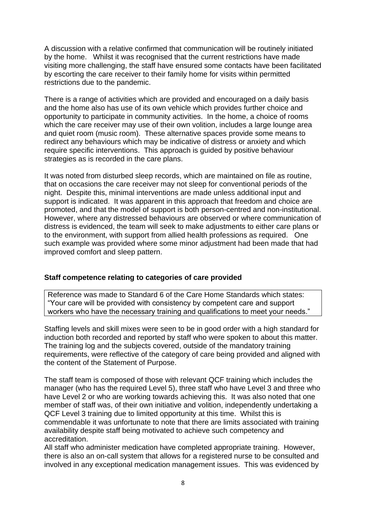A discussion with a relative confirmed that communication will be routinely initiated by the home. Whilst it was recognised that the current restrictions have made visiting more challenging, the staff have ensured some contacts have been facilitated by escorting the care receiver to their family home for visits within permitted restrictions due to the pandemic.

There is a range of activities which are provided and encouraged on a daily basis and the home also has use of its own vehicle which provides further choice and opportunity to participate in community activities. In the home, a choice of rooms which the care receiver may use of their own volition, includes a large lounge area and quiet room (music room). These alternative spaces provide some means to redirect any behaviours which may be indicative of distress or anxiety and which require specific interventions. This approach is guided by positive behaviour strategies as is recorded in the care plans.

It was noted from disturbed sleep records, which are maintained on file as routine, that on occasions the care receiver may not sleep for conventional periods of the night. Despite this, minimal interventions are made unless additional input and support is indicated. It was apparent in this approach that freedom and choice are promoted, and that the model of support is both person-centred and non-institutional. However, where any distressed behaviours are observed or where communication of distress is evidenced, the team will seek to make adjustments to either care plans or to the environment, with support from allied health professions as required. One such example was provided where some minor adjustment had been made that had improved comfort and sleep pattern.

#### **Staff competence relating to categories of care provided**

Reference was made to Standard 6 of the Care Home Standards which states: "Your care will be provided with consistency by competent care and support workers who have the necessary training and qualifications to meet your needs."

Staffing levels and skill mixes were seen to be in good order with a high standard for induction both recorded and reported by staff who were spoken to about this matter. The training log and the subjects covered, outside of the mandatory training requirements, were reflective of the category of care being provided and aligned with the content of the Statement of Purpose.

The staff team is composed of those with relevant QCF training which includes the manager (who has the required Level 5), three staff who have Level 3 and three who have Level 2 or who are working towards achieving this. It was also noted that one member of staff was, of their own initiative and volition, independently undertaking a QCF Level 3 training due to limited opportunity at this time. Whilst this is commendable it was unfortunate to note that there are limits associated with training availability despite staff being motivated to achieve such competency and accreditation.

All staff who administer medication have completed appropriate training. However, there is also an on-call system that allows for a registered nurse to be consulted and involved in any exceptional medication management issues. This was evidenced by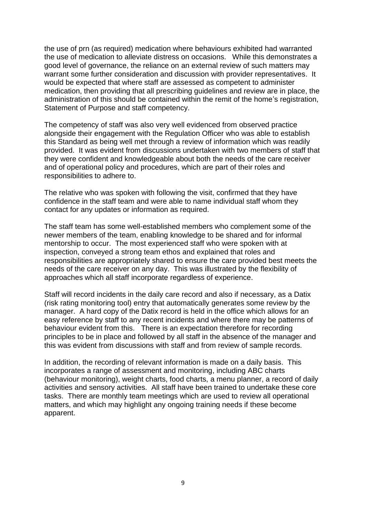the use of prn (as required) medication where behaviours exhibited had warranted the use of medication to alleviate distress on occasions. While this demonstrates a good level of governance, the reliance on an external review of such matters may warrant some further consideration and discussion with provider representatives. It would be expected that where staff are assessed as competent to administer medication, then providing that all prescribing guidelines and review are in place, the administration of this should be contained within the remit of the home's registration. Statement of Purpose and staff competency.

The competency of staff was also very well evidenced from observed practice alongside their engagement with the Regulation Officer who was able to establish this Standard as being well met through a review of information which was readily provided. It was evident from discussions undertaken with two members of staff that they were confident and knowledgeable about both the needs of the care receiver and of operational policy and procedures, which are part of their roles and responsibilities to adhere to.

The relative who was spoken with following the visit, confirmed that they have confidence in the staff team and were able to name individual staff whom they contact for any updates or information as required.

The staff team has some well-established members who complement some of the newer members of the team, enabling knowledge to be shared and for informal mentorship to occur. The most experienced staff who were spoken with at inspection, conveyed a strong team ethos and explained that roles and responsibilities are appropriately shared to ensure the care provided best meets the needs of the care receiver on any day. This was illustrated by the flexibility of approaches which all staff incorporate regardless of experience.

Staff will record incidents in the daily care record and also if necessary, as a Datix (risk rating monitoring tool) entry that automatically generates some review by the manager. A hard copy of the Datix record is held in the office which allows for an easy reference by staff to any recent incidents and where there may be patterns of behaviour evident from this. There is an expectation therefore for recording principles to be in place and followed by all staff in the absence of the manager and this was evident from discussions with staff and from review of sample records.

In addition, the recording of relevant information is made on a daily basis. This incorporates a range of assessment and monitoring, including ABC charts (behaviour monitoring), weight charts, food charts, a menu planner, a record of daily activities and sensory activities. All staff have been trained to undertake these core tasks. There are monthly team meetings which are used to review all operational matters, and which may highlight any ongoing training needs if these become apparent.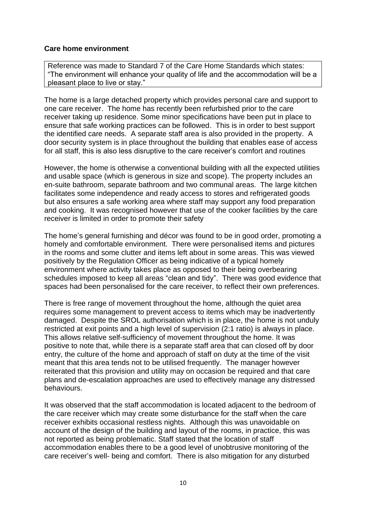#### **Care home environment**

Reference was made to Standard 7 of the Care Home Standards which states: "The environment will enhance your quality of life and the accommodation will be a pleasant place to live or stay."

The home is a large detached property which provides personal care and support to one care receiver. The home has recently been refurbished prior to the care receiver taking up residence. Some minor specifications have been put in place to ensure that safe working practices can be followed. This is in order to best support the identified care needs. A separate staff area is also provided in the property. A door security system is in place throughout the building that enables ease of access for all staff, this is also less disruptive to the care receiver's comfort and routines

However, the home is otherwise a conventional building with all the expected utilities and usable space (which is generous in size and scope). The property includes an en-suite bathroom, separate bathroom and two communal areas. The large kitchen facilitates some independence and ready access to stores and refrigerated goods but also ensures a safe working area where staff may support any food preparation and cooking. It was recognised however that use of the cooker facilities by the care receiver is limited in order to promote their safety

The home's general furnishing and décor was found to be in good order, promoting a homely and comfortable environment. There were personalised items and pictures in the rooms and some clutter and items left about in some areas. This was viewed positively by the Regulation Officer as being indicative of a typical homely environment where activity takes place as opposed to their being overbearing schedules imposed to keep all areas "clean and tidy". There was good evidence that spaces had been personalised for the care receiver, to reflect their own preferences.

There is free range of movement throughout the home, although the quiet area requires some management to prevent access to items which may be inadvertently damaged. Despite the SROL authorisation which is in place, the home is not unduly restricted at exit points and a high level of supervision (2:1 ratio) is always in place. This allows relative self-sufficiency of movement throughout the home. It was positive to note that, while there is a separate staff area that can closed off by door entry, the culture of the home and approach of staff on duty at the time of the visit meant that this area tends not to be utilised frequently. The manager however reiterated that this provision and utility may on occasion be required and that care plans and de-escalation approaches are used to effectively manage any distressed behaviours.

It was observed that the staff accommodation is located adjacent to the bedroom of the care receiver which may create some disturbance for the staff when the care receiver exhibits occasional restless nights. Although this was unavoidable on account of the design of the building and layout of the rooms, in practice, this was not reported as being problematic. Staff stated that the location of staff accommodation enables there to be a good level of unobtrusive monitoring of the care receiver's well- being and comfort. There is also mitigation for any disturbed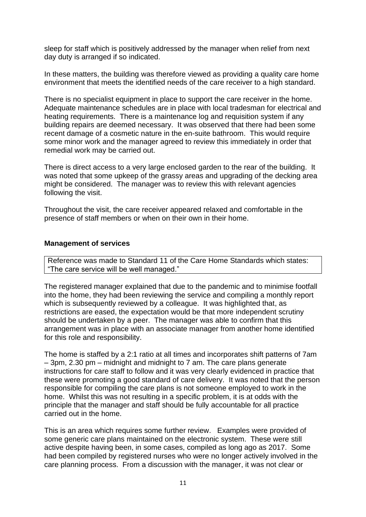sleep for staff which is positively addressed by the manager when relief from next day duty is arranged if so indicated.

In these matters, the building was therefore viewed as providing a quality care home environment that meets the identified needs of the care receiver to a high standard.

There is no specialist equipment in place to support the care receiver in the home. Adequate maintenance schedules are in place with local tradesman for electrical and heating requirements. There is a maintenance log and requisition system if any building repairs are deemed necessary. It was observed that there had been some recent damage of a cosmetic nature in the en-suite bathroom. This would require some minor work and the manager agreed to review this immediately in order that remedial work may be carried out.

There is direct access to a very large enclosed garden to the rear of the building. It was noted that some upkeep of the grassy areas and upgrading of the decking area might be considered. The manager was to review this with relevant agencies following the visit.

Throughout the visit, the care receiver appeared relaxed and comfortable in the presence of staff members or when on their own in their home.

#### **Management of services**

Reference was made to Standard 11 of the Care Home Standards which states: "The care service will be well managed."

The registered manager explained that due to the pandemic and to minimise footfall into the home, they had been reviewing the service and compiling a monthly report which is subsequently reviewed by a colleague. It was highlighted that, as restrictions are eased, the expectation would be that more independent scrutiny should be undertaken by a peer. The manager was able to confirm that this arrangement was in place with an associate manager from another home identified for this role and responsibility.

The home is staffed by a 2:1 ratio at all times and incorporates shift patterns of 7am – 3pm, 2.30 pm – midnight and midnight to 7 am. The care plans generate instructions for care staff to follow and it was very clearly evidenced in practice that these were promoting a good standard of care delivery. It was noted that the person responsible for compiling the care plans is not someone employed to work in the home. Whilst this was not resulting in a specific problem, it is at odds with the principle that the manager and staff should be fully accountable for all practice carried out in the home.

This is an area which requires some further review. Examples were provided of some generic care plans maintained on the electronic system. These were still active despite having been, in some cases, compiled as long ago as 2017. Some had been compiled by registered nurses who were no longer actively involved in the care planning process. From a discussion with the manager, it was not clear or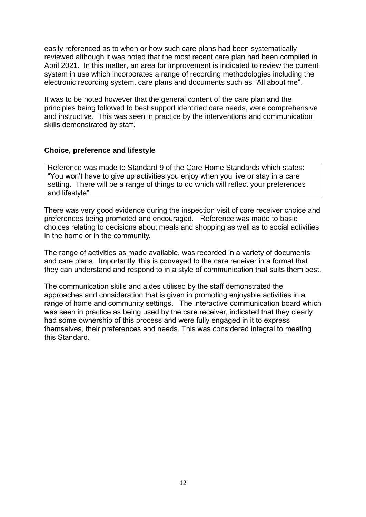easily referenced as to when or how such care plans had been systematically reviewed although it was noted that the most recent care plan had been compiled in April 2021. In this matter, an area for improvement is indicated to review the current system in use which incorporates a range of recording methodologies including the electronic recording system, care plans and documents such as "All about me".

It was to be noted however that the general content of the care plan and the principles being followed to best support identified care needs, were comprehensive and instructive. This was seen in practice by the interventions and communication skills demonstrated by staff.

#### **Choice, preference and lifestyle**

Reference was made to Standard 9 of the Care Home Standards which states: "You won't have to give up activities you enjoy when you live or stay in a care setting. There will be a range of things to do which will reflect your preferences and lifestyle".

There was very good evidence during the inspection visit of care receiver choice and preferences being promoted and encouraged. Reference was made to basic choices relating to decisions about meals and shopping as well as to social activities in the home or in the community.

The range of activities as made available, was recorded in a variety of documents and care plans. Importantly, this is conveyed to the care receiver in a format that they can understand and respond to in a style of communication that suits them best.

The communication skills and aides utilised by the staff demonstrated the approaches and consideration that is given in promoting enjoyable activities in a range of home and community settings. The interactive communication board which was seen in practice as being used by the care receiver, indicated that they clearly had some ownership of this process and were fully engaged in it to express themselves, their preferences and needs. This was considered integral to meeting this Standard.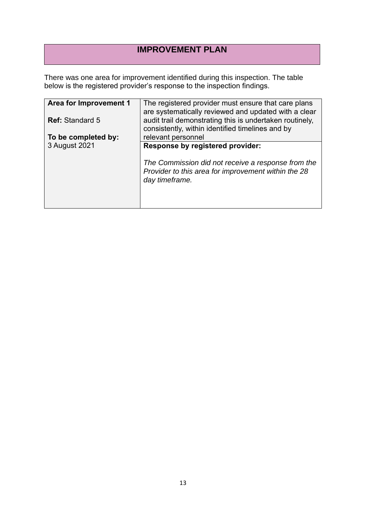## **IMPROVEMENT PLAN**

There was one area for improvement identified during this inspection. The table below is the registered provider's response to the inspection findings.

| Area for Improvement 1 | The registered provider must ensure that care plans<br>are systematically reviewed and updated with a clear                 |
|------------------------|-----------------------------------------------------------------------------------------------------------------------------|
| <b>Ref: Standard 5</b> | audit trail demonstrating this is undertaken routinely,<br>consistently, within identified timelines and by                 |
| To be completed by:    | relevant personnel                                                                                                          |
| 3 August 2021          | <b>Response by registered provider:</b>                                                                                     |
|                        | The Commission did not receive a response from the<br>Provider to this area for improvement within the 28<br>day timeframe. |